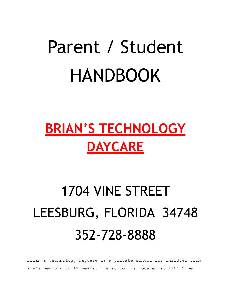# Parent / Student HANDBOOK

### **BRIAN'S TECHNOLOGY DAYCARE**

## 1704 VINE STREET LEESBURG, FLORIDA 34748 352-728-8888

Brian's technology daycare is a private school for children from age's newborn to 12 years. The school is located at 1704 Vine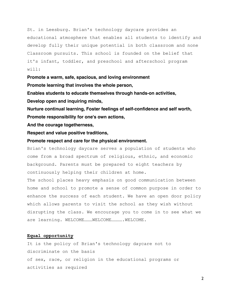St. in Leesburg. Brian's technology daycare provides an educational atmosphere that enables all students to identify and develop fully their unique potential in both classroom and none Classroom pursuits. This school is founded on the belief that it's infant, toddler, and preschool and afterschool program will:

**Promote a warm, safe, spacious, and loving environment**

**Promote learning that involves the whole person,**

**Enables students to educate themselves through hands-on activities,**

**Develop open and inquiring minds,**

**Nurture continual learning, Foster feelings of self-confidence and self worth, Promote responsibility for one's own actions,**

**And the courage togetherness,**

**Respect and value positive traditions,**

#### **Promote respect and care for the physical environment.**

Brian's technology daycare serves a population of students who come from a broad spectrum of religious, ethnic, and economic background. Parents must be prepared to eight teachers by continuously helping their children at home.

The school places heavy emphasis on good communication between home and school to promote a sense of common purpose in order to enhance the success of each student. We have an open door policy which allows parents to visit the school as they wish without disrupting the class. We encourage you to come in to see what we are learning. WELCOME ......... WELCOME ............ WELCOME.

#### **Equal opportunity**

It is the policy of Brian's technology daycare not to discriminate on the basis of sex, race, or religion in the educational programs or activities as required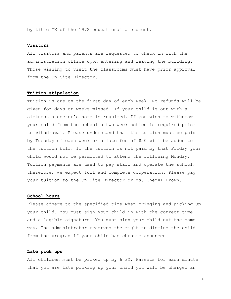by title IX of the 1972 educational amendment.

#### **Visitors**

All visitors and parents are requested to check in with the administration office upon entering and leaving the building. Those wishing to visit the classrooms must have prior approval from the On Site Director.

#### **Tuition stipulation**

Tuition is due on the first day of each week. No refunds will be given for days or weeks missed. If your child is out with a sickness a doctor's note is required. If you wish to withdraw your child from the school a two week notice is required prior to withdrawal. Please understand that the tuition must be paid by Tuesday of each week or a late fee of \$20 will be added to the tuition bill. If the tuition is not paid by that Friday your child would not be permitted to attend the following Monday. Tuition payments are used to pay staff and operate the school; therefore, we expect full and complete cooperation. Please pay your tuition to the On Site Director or Ms. Cheryl Brown.

#### **School hours**

Please adhere to the specified time when bringing and picking up your child. You must sign your child in with the correct time and a legible signature. You must sign your child out the same way. The administrator reserves the right to dismiss the child from the program if your child has chronic absences.

#### **Late pick ups**

All children must be picked up by 6 PM. Parents for each minute that you are late picking up your child you will be charged an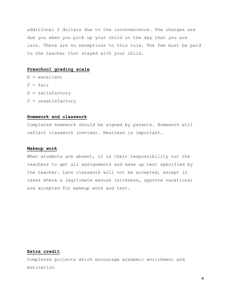additional 2 dollars due to the inconvenience. The charges are due you when you pick up your child on the day that you are late. There are no exceptions to this rule. The fee must be paid to the teacher that stayed with your child.

#### **Preschool grading scale**

 $E = excellent$  $F = fair$ S = satisfactory U = unsatisfactory

#### **Homework and classwork**

Completed homework should be signed by parents. Homework will reflect classwork (review). Neatness is important.

#### **Makeup work**

When students are absent, it is their responsibility not the teachers to get all assignments and make up test specified by the teacher. Late classwork will not be accepted, except in cases where a legitimate excuse (sickness, approve vacations) are accepted for makeup work and test.

#### **Extra credit**

Completed projects which encourage academic enrichment and motivation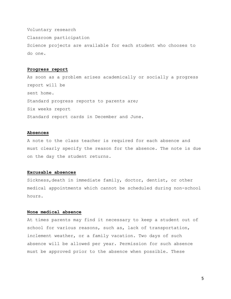Voluntary research

Classroom participation

Science projects are available for each student who chooses to do one.

#### **Progress report**

As soon as a problem arises academically or socially a progress report will be sent home. Standard progress reports to parents are; Six weeks report Standard report cards in December and June.

#### **Absences**

A note to the class teacher is required for each absence and must clearly specify the reason for the absence. The note is due on the day the student returns.

#### **Excusable absences**

Sickness,death in immediate family, doctor, dentist, or other medical appointments which cannot be scheduled during non-school hours.

#### **None medical absence**

At times parents may find it necessary to keep a student out of school for various reasons, such as, lack of transportation, inclement weather, or a family vacation. Two days of such absence will be allowed per year. Permission for such absence must be approved prior to the absence when possible. These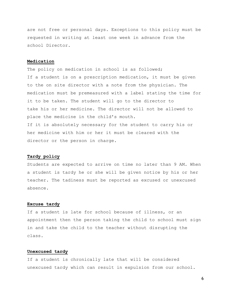are not free or personal days. Exceptions to this policy must be requested in writing at least one week in advance from the school Director.

#### **Medication**

The policy on medication in school is as followed; If a student is on a prescription medication, it must be given to the on site director with a note from the physician. The medication must be premeasured with a label stating the time for it to be taken. The student will go to the director to take his or her medicine. The director will not be allowed to place the medicine in the child's mouth. If it is absolutely necessary for the student to carry his or her medicine with him or her it must be cleared with the director or the person in charge.

#### **Tardy policy**

Students are expected to arrive on time no later than 9 AM. When a student is tardy he or she will be given notice by his or her teacher. The tadiness must be reported as excused or unexcused absence.

#### **Excuse tardy**

If a student is late for school because of illness, or an appointment then the person taking the child to school must sign in and take the child to the teacher without disrupting the class.

#### **Unexcused tardy**

If a student is chronically late that will be considered unexcused tardy which can result in expulsion from our school.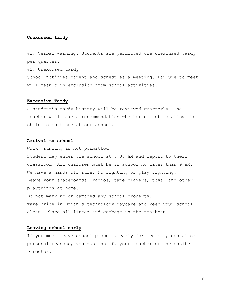#### **Unexcused tardy**

#1. Verbal warning. Students are permitted one unexcused tardy per quarter.

#2. Unexcused tardy

School notifies parent and schedules a meeting. Failure to meet will result in exclusion from school activities.

#### **Excessive Tardy**

A student's tardy history will be reviewed quarterly. The teacher will make a recommendation whether or not to allow the child to continue at our school.

#### **Arrival to school**

Walk, running is not permitted. Student may enter the school at 6:30 AM and report to their classroom. All children must be in school no later than 9 AM. We have a hands off rule. No fighting or play fighting. Leave your skateboards, radios, tape players, toys, and other playthings at home. Do not mark up or damaged any school property.

Take pride in Brian's technology daycare and keep your school clean. Place all litter and garbage in the trashcan.

#### **Leaving school early**

If you must leave school property early for medical, dental or personal reasons, you must notify your teacher or the onsite Director.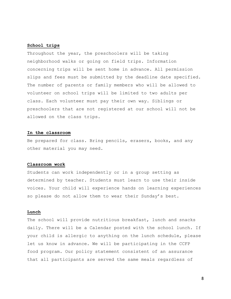#### **School trips**

Throughout the year, the preschoolers will be taking neighborhood walks or going on field trips. Information concerning trips will be sent home in advance. All permission slips and fees must be submitted by the deadline date specified. The number of parents or family members who will be allowed to volunteer on school trips will be limited to two adults per class. Each volunteer must pay their own way. Siblings or preschoolers that are not registered at our school will not be allowed on the class trips.

#### **In the classroom**

Be prepared for class. Bring pencils, erasers, books, and any other material you may need.

#### **Classroom work**

Students can work independently or in a group setting as determined by teacher. Students must learn to use their inside voices. Your child will experience hands on learning experiences so please do not allow them to wear their Sunday's best.

#### **Lunch**

The school will provide nutritious breakfast, lunch and snacks daily. There will be a Calendar posted with the school lunch. If your child is allergic to anything on the lunch schedule, please let us know in advance. We will be participating in the CCFP food program. Our policy statement consistent of an assurance that all participants are served the same meals regardless of

8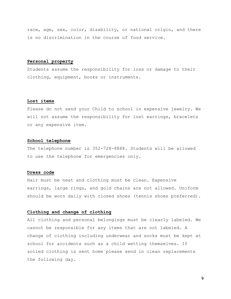race, age, sex, color, disability, or national origin, and there is no discrimination in the course of food service.

#### **Personal property**

Students assume the responsibility for loss or damage to their clothing, equipment, books or instruments.

#### **Lost items**

Please do not send your Child to school in expensive jewelry. We will not assume the responsibility for lost earrings, bracelets or any expensive item.

#### **School telephone**

The telephone number is 352-728-8888. Students will be allowed to use the telephone for emergencies only.

#### **Dress code**

Hair must be neat and clothing must be clean. Expensive earrings, large rings, and gold chains are not allowed. Uniform should be worn daily with closed shoes (tennis shoes preferred).

#### **Clothing and change of clothing**

All clothing and personal belongings must be clearly labeled. We cannot be responsible for any items that are not labeled. A change of clothing including underwear and socks must be kept at school for accidents such as a child wetting themselves. If soiled clothing is sent home please send in clean replacements the following day.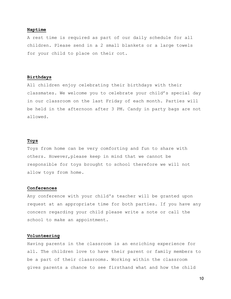#### **Naptime**

A rest time is required as part of our daily schedule for all children. Please send in a 2 small blankets or a large towels for your child to place on their cot.

#### **Birthdays**

All children enjoy celebrating their birthdays with their classmates. We welcome you to celebrate your child's special day in our classroom on the last Friday of each month. Parties will be held in the afternoon after 3 PM. Candy in party bags are not allowed.

#### **Toys**

Toys from home can be very comforting and fun to share with others. However,please keep in mind that we cannot be responsible for toys brought to school therefore we will not allow toys from home.

#### **Conferences**

Any conference with your child's teacher will be granted upon request at an appropriate time for both parties. If you have any concern regarding your child please write a note or call the school to make an appointment.

#### **Volunteering**

Having parents in the classroom is an enriching experience for all. The children love to have their parent or family members to be a part of their classrooms. Working within the classroom gives parents a chance to see firsthand what and how the child

10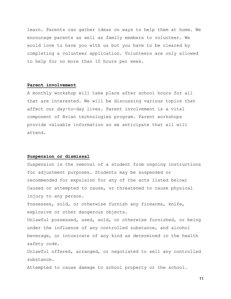learn. Parents can gather ideas on ways to help them at home. We encourage parents as well as family members to volunteer. We would love to have you with us but you have to be cleared by completing a volunteer application. Volunteers are only allowed to help for no more than 10 hours per week.

#### **Parent involvement**

A monthly workshop will take place after school hours for all that are interested. We will be discussing various topics that affect our day-to-day lives. Parent involvement is a vital component of Brian technologies program. Parent workshops provide valuable information so we anticipate that all will attend.

#### **Suspension or dismissal**

Suspension is the removal of a student from ongoing instructions for adjustment purposes. Students may be suspended or recommended for expulsion for any of the acts listed below; Caused or attempted to cause, or threatened to cause physical injury to any person.

Possesses, sold, or otherwise furnish any firearms, knife, explosive or other dangerous objects.

Unlawful possessed, used, sold, or otherwise furnished, or being under the influence of any controlled substance, and alcohol beverage, or intoxicate of any kind as determined in the health safety code.

Unlawful offered, arranged, or negotiated to sell any controlled substance.

Attempted to cause damage to school property or the school.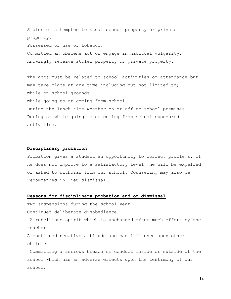Stolen or attempted to steal school property or private property. Possessed or use of tobacco. Committed an obscene act or engage in habitual vulgarity. Knowingly receive stolen property or private property.

The acts must be related to school activities or attendance but may take place at any time including but not limited to; While on school grounds While going to or coming from school During the lunch time whether on or off to school premises During or while going to or coming from school sponsored activities.

#### **Disciplinary probation**

Probation gives a student an opportunity to correct problems. If he does not improve to a satisfactory level, he will be expelled or asked to withdraw from our school. Counseling may also be recommended in lieu dismissal.

#### **Reasons for disciplinary probation and or dismissal**

Two suspensions during the school year Continued deliberate disobedience

 A rebellious spirit which is unchanged after much effort by the teachers

A continued negative attitude and bad influence upon other children

 Committing a serious breach of conduct inside or outside of the school which has an adverse effects upon the testimony of our school.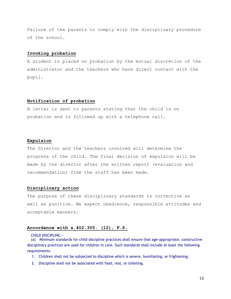Failure of the parents to comply with the disciplinary procedure of the school.

#### **Invoking probation**

A student is placed on probation by the mutual discretion of the administrator and the teachers who have direct contact with the pupil.

#### **Notification of probation**

A letter is sent to parents stating that the child is on probation and is followed up with a telephone call.

#### **Expulsion**

The Director and the teachers involved will determine the progress of the child. The final decision of expulsion will be made by the director after the written report (evaluation and recommendation) from the staff has been made.

#### **Disciplinary action**

The purpose of these disciplinary standards is corrective as well as punitive. We expect obedience, responsible attitudes and acceptable manners.

#### **Accordance with s.402.305. (12), F.S.**

CHILD DISCIPLINE.—

(a) Minimum standards for child discipline practices shall ensure that age-appropriate, constructive disciplinary practices are used for children in care. Such standards shall include at least the following requirements:

- 1. Children shall not be subjected to discipline which is severe, humiliating, or frightening.
- 2. Discipline shall not be associated with food, rest, or toileting.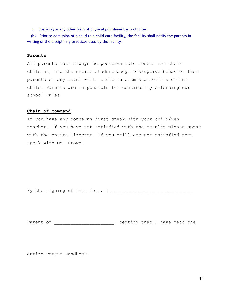3. Spanking or any other form of physical punishment is prohibited.

(b) Prior to admission of a child to a child care facility, the facility shall notify the parents in writing of the disciplinary practices used by the facility.

#### **Parents**

All parents must always be positive role models for their children, and the entire student body. Disruptive behavior from parents on any level will result in dismissal of his or her child. Parents are responsible for continually enforcing our school rules.

#### **Chain of command**

If you have any concerns first speak with your child/ren teacher. If you have not satisfied with the results please speak with the onsite Director. If you still are not satisfied then speak with Ms. Brown.

By the signing of this form, I

Parent of  $\rule{1em}{0.15mm}$  , certify that I have read the

entire Parent Handbook.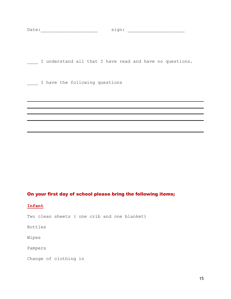Date:\_\_\_\_\_\_\_\_\_\_\_\_\_\_\_\_\_\_\_\_\_ sign: \_\_\_\_\_\_\_\_\_\_\_\_\_\_\_\_\_\_\_\_\_

\_\_\_\_ I understand all that I have read and have no questions.

\_\_\_\_ I have the following questions

#### On your first day of school please bring the following items;

#### **Infant**

Two clean sheets ( one crib and one blanket)

Bottles

Wipes

Pampers

Change of clothing in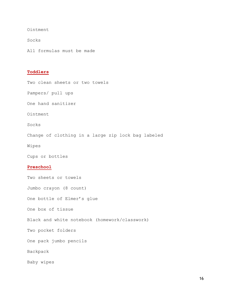Ointment

Socks

All formulas must be made

#### **Toddlers**

Two clean sheets or two towels

Pampers/ pull ups

One hand sanitizer

Ointment

Socks

Change of clothing in a large zip lock bag labeled

Wipes

Cups or bottles

#### **Preschool**

Two sheets or towels Jumbo crayon (8 count) One bottle of Elmer's glue One box of tissue Black and white notebook (homework/classwork) Two pocket folders One pack jumbo pencils Backpack Baby wipes